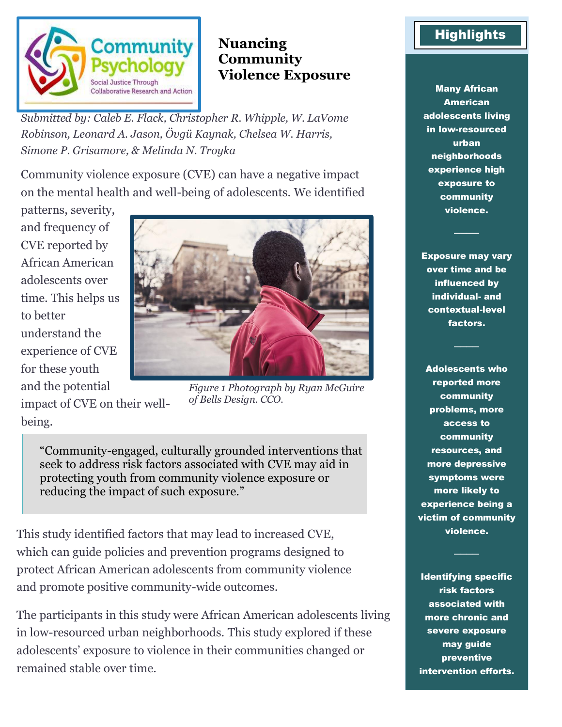

## **Nuancing Community Violence Exposure**

*Submitted by: Caleb E. Flack, Christopher R. Whipple, W. LaVome Robinson, Leonard A. Jason, Övgü Kaynak, Chelsea W. Harris, Simone P. Grisamore, & Melinda N. Troyka*

Community violence exposure (CVE) can have a negative impact on the mental health and well-being of adolescents. We identified

patterns, severity, and frequency of CVE reported by African American adolescents over time. This helps us to better understand the experience of CVE for these youth and the potential

impact of CVE on their wellbeing.



*Figure 1 Photograph by Ryan McGuire of Bells Design. CCO.*

"Community-engaged, culturally grounded interventions that seek to address risk factors associated with CVE may aid in protecting youth from community violence exposure or reducing the impact of such exposure."

This study identified factors that may lead to increased CVE, which can guide policies and prevention programs designed to protect African American adolescents from community violence and promote positive community-wide outcomes.

The participants in this study were African American adolescents living in low-resourced urban neighborhoods. This study explored if these adolescents' exposure to violence in their communities changed or remained stable over time.

# **Highlights**

Many African American adolescents living in low-resourced urban neighborhoods experience high exposure to community violence.

Exposure may vary over time and be influenced by individual- and contextual-level factors.

Adolescents who reported more community problems, more access to community resources, and more depressive symptoms were more likely to experience being a victim of community violence.

Identifying specific risk factors associated with more chronic and severe exposure may guide preventive intervention efforts.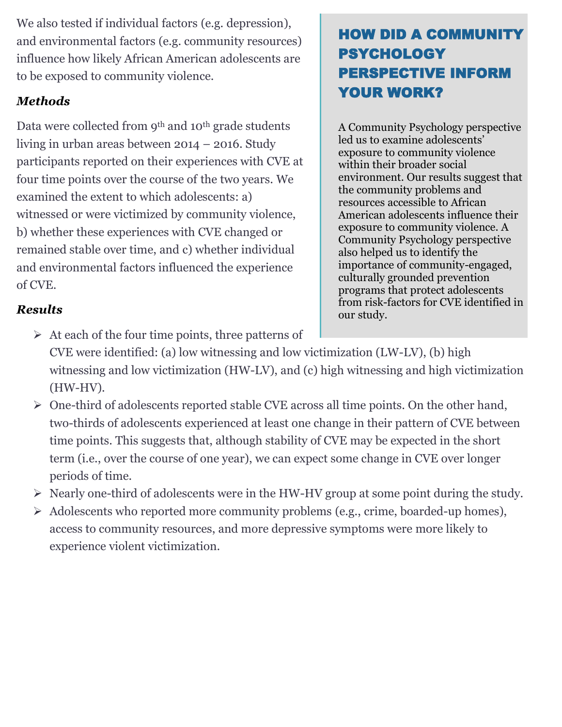We also tested if individual factors (e.g. depression), and environmental factors (e.g. community resources) influence how likely African American adolescents are to be exposed to community violence.

### *Methods*

Data were collected from 9<sup>th</sup> and 10<sup>th</sup> grade students living in urban areas between 2014 – 2016. Study participants reported on their experiences with CVE at four time points over the course of the two years. We examined the extent to which adolescents: a) witnessed or were victimized by community violence, b) whether these experiences with CVE changed or remained stable over time, and c) whether individual and environmental factors influenced the experience of CVE.

# HOW DID A COMMUNITY PSYCHOLOGY PERSPECTIVE INFORM YOUR WORK?

A Community Psychology perspective led us to examine adolescents' exposure to community violence within their broader social environment. Our results suggest that the community problems and resources accessible to African American adolescents influence their exposure to community violence. A Community Psychology perspective also helped us to identify the importance of community-engaged, culturally grounded prevention programs that protect adolescents from risk-factors for CVE identified in our study.

## *Results*

- $\triangleright$  At each of the four time points, three patterns of CVE were identified: (a) low witnessing and low victimization (LW-LV), (b) high witnessing and low victimization (HW-LV), and (c) high witnessing and high victimization (HW-HV).
- ➢ One-third of adolescents reported stable CVE across all time points. On the other hand, two-thirds of adolescents experienced at least one change in their pattern of CVE between time points. This suggests that, although stability of CVE may be expected in the short term (i.e., over the course of one year), we can expect some change in CVE over longer periods of time.
- ➢ Nearly one-third of adolescents were in the HW-HV group at some point during the study.
- ➢ Adolescents who reported more community problems (e.g., crime, boarded-up homes), access to community resources, and more depressive symptoms were more likely to experience violent victimization.